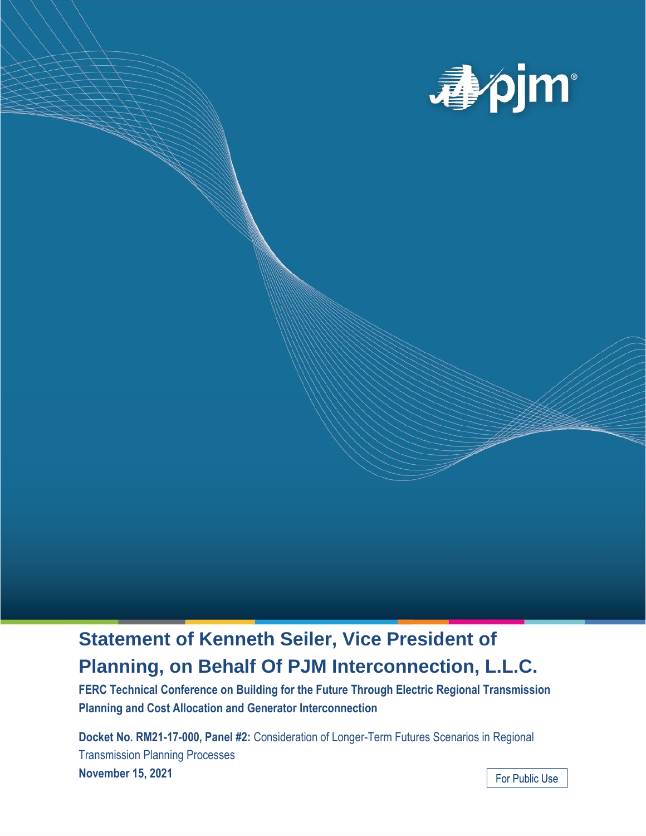

## **Statement of Kenneth Seiler, Vice President of Planning, on Behalf Of PJM Interconnection, L.L.C.**

**FERC Technical Conference on Building for the Future Through Electric Regional Transmission Planning and Cost Allocation and Generator Interconnection**

**Docket No. RM21-17-000, Panel #2:** Consideration of Longer-Term Futures Scenarios in Regional Transmission Planning Processes **November 15, 2021**

For Public Use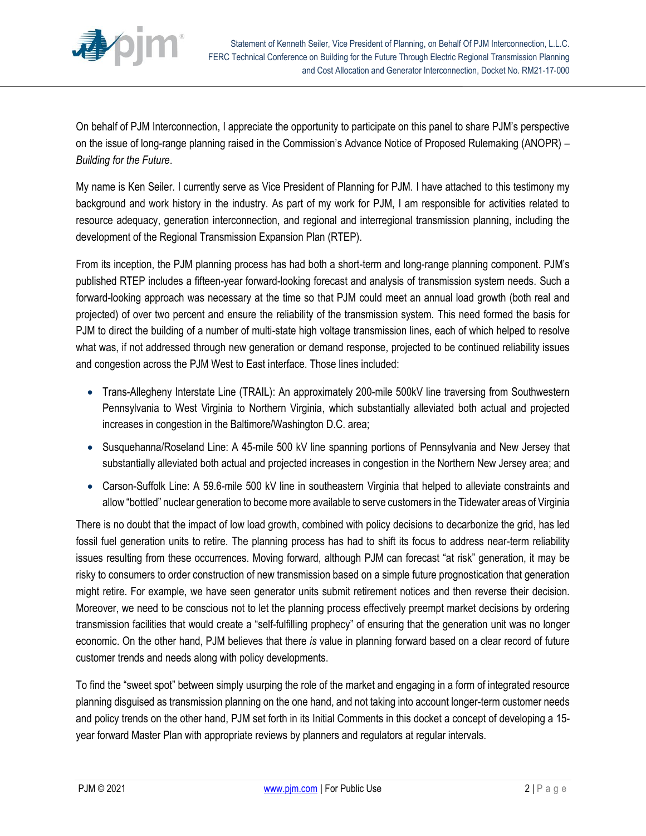

On behalf of PJM Interconnection, I appreciate the opportunity to participate on this panel to share PJM's perspective on the issue of long-range planning raised in the Commission's Advance Notice of Proposed Rulemaking (ANOPR) – *Building for the Future*.

My name is Ken Seiler. I currently serve as Vice President of Planning for PJM. I have attached to this testimony my background and work history in the industry. As part of my work for PJM, I am responsible for activities related to resource adequacy, generation interconnection, and regional and interregional transmission planning, including the development of the Regional Transmission Expansion Plan (RTEP).

From its inception, the PJM planning process has had both a short-term and long-range planning component. PJM's published RTEP includes a fifteen-year forward-looking forecast and analysis of transmission system needs. Such a forward-looking approach was necessary at the time so that PJM could meet an annual load growth (both real and projected) of over two percent and ensure the reliability of the transmission system. This need formed the basis for PJM to direct the building of a number of multi-state high voltage transmission lines, each of which helped to resolve what was, if not addressed through new generation or demand response, projected to be continued reliability issues and congestion across the PJM West to East interface. Those lines included:

- Trans-Allegheny Interstate Line (TRAIL): An approximately 200-mile 500kV line traversing from Southwestern Pennsylvania to West Virginia to Northern Virginia, which substantially alleviated both actual and projected increases in congestion in the Baltimore/Washington D.C. area;
- Susquehanna/Roseland Line: A 45-mile 500 kV line spanning portions of Pennsylvania and New Jersey that substantially alleviated both actual and projected increases in congestion in the Northern New Jersey area; and
- Carson-Suffolk Line: A 59.6-mile 500 kV line in southeastern Virginia that helped to alleviate constraints and allow "bottled" nuclear generation to become more available to serve customers in the Tidewater areas of Virginia

There is no doubt that the impact of low load growth, combined with policy decisions to decarbonize the grid, has led fossil fuel generation units to retire. The planning process has had to shift its focus to address near-term reliability issues resulting from these occurrences. Moving forward, although PJM can forecast "at risk" generation, it may be risky to consumers to order construction of new transmission based on a simple future prognostication that generation might retire. For example, we have seen generator units submit retirement notices and then reverse their decision. Moreover, we need to be conscious not to let the planning process effectively preempt market decisions by ordering transmission facilities that would create a "self-fulfilling prophecy" of ensuring that the generation unit was no longer economic. On the other hand, PJM believes that there *is* value in planning forward based on a clear record of future customer trends and needs along with policy developments.

To find the "sweet spot" between simply usurping the role of the market and engaging in a form of integrated resource planning disguised as transmission planning on the one hand, and not taking into account longer-term customer needs and policy trends on the other hand, PJM set forth in its Initial Comments in this docket a concept of developing a 15 year forward Master Plan with appropriate reviews by planners and regulators at regular intervals.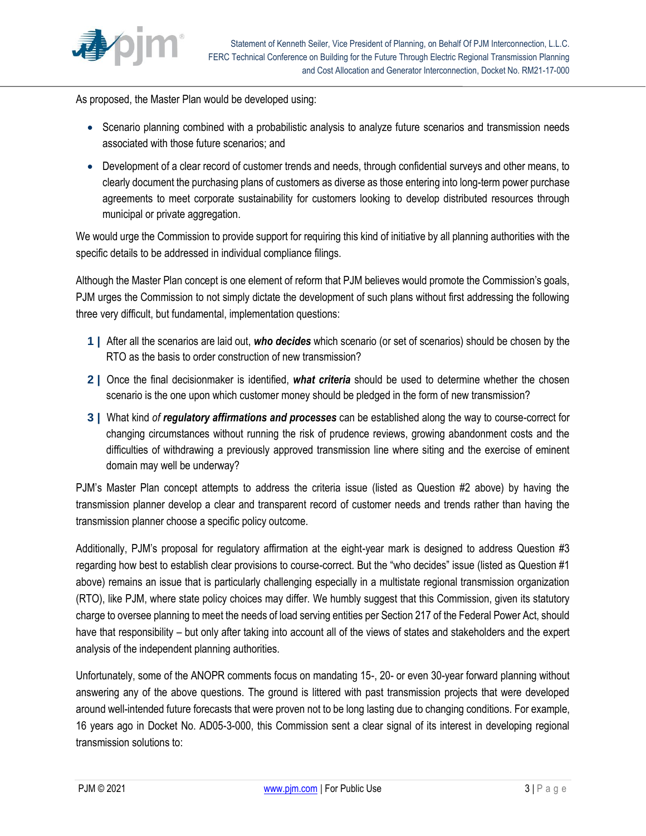

As proposed, the Master Plan would be developed using:

- Scenario planning combined with a probabilistic analysis to analyze future scenarios and transmission needs associated with those future scenarios; and
- Development of a clear record of customer trends and needs, through confidential surveys and other means, to clearly document the purchasing plans of customers as diverse as those entering into long-term power purchase agreements to meet corporate sustainability for customers looking to develop distributed resources through municipal or private aggregation.

We would urge the Commission to provide support for requiring this kind of initiative by all planning authorities with the specific details to be addressed in individual compliance filings.

Although the Master Plan concept is one element of reform that PJM believes would promote the Commission's goals, PJM urges the Commission to not simply dictate the development of such plans without first addressing the following three very difficult, but fundamental, implementation questions:

- **1 |** After all the scenarios are laid out, *who decides* which scenario (or set of scenarios) should be chosen by the RTO as the basis to order construction of new transmission?
- **2 |** Once the final decisionmaker is identified, *what criteria* should be used to determine whether the chosen scenario is the one upon which customer money should be pledged in the form of new transmission?
- **3 |** What kind *of regulatory affirmations and processes* can be established along the way to course-correct for changing circumstances without running the risk of prudence reviews, growing abandonment costs and the difficulties of withdrawing a previously approved transmission line where siting and the exercise of eminent domain may well be underway?

PJM's Master Plan concept attempts to address the criteria issue (listed as Question #2 above) by having the transmission planner develop a clear and transparent record of customer needs and trends rather than having the transmission planner choose a specific policy outcome.

Additionally, PJM's proposal for regulatory affirmation at the eight-year mark is designed to address Question #3 regarding how best to establish clear provisions to course-correct. But the "who decides" issue (listed as Question #1 above) remains an issue that is particularly challenging especially in a multistate regional transmission organization (RTO), like PJM, where state policy choices may differ. We humbly suggest that this Commission, given its statutory charge to oversee planning to meet the needs of load serving entities per Section 217 of the Federal Power Act, should have that responsibility – but only after taking into account all of the views of states and stakeholders and the expert analysis of the independent planning authorities.

Unfortunately, some of the ANOPR comments focus on mandating 15-, 20- or even 30-year forward planning without answering any of the above questions. The ground is littered with past transmission projects that were developed around well-intended future forecasts that were proven not to be long lasting due to changing conditions. For example, 16 years ago in Docket No. AD05-3-000, this Commission sent a clear signal of its interest in developing regional transmission solutions to: